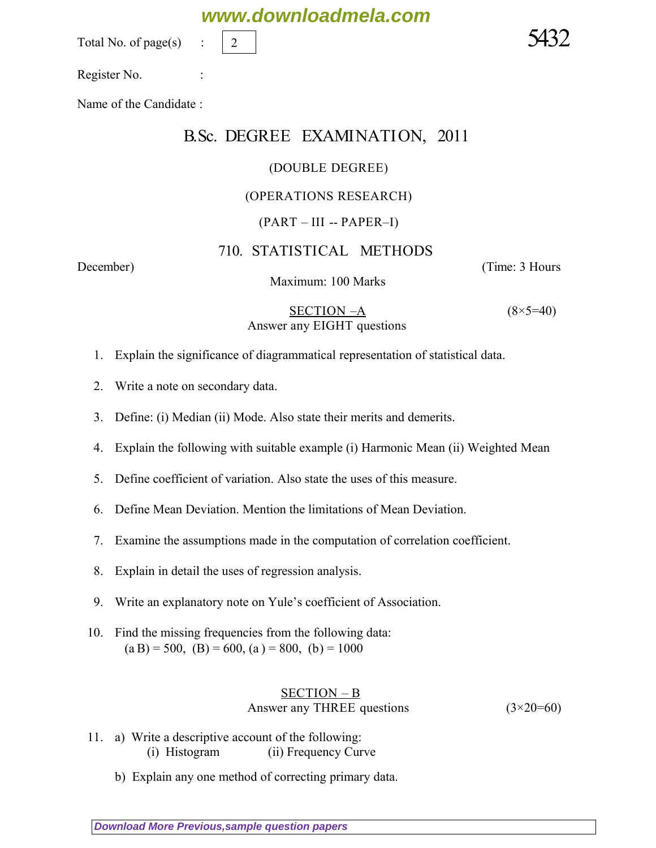Total No. of page $(s)$ 

Register No. :

Name of the Candidate :

# B.Sc. DEGREE EXAMINATION, 2011

**www.downloadmela.com**

#### (DOUBLE DEGREE)

#### (OPERATIONS RESEARCH)

#### $(PART - III - PAPER - I)$

## 710. STATISTICAL METHODS

Maximum: 100 Marks

*December*) (*Time: 3 Hours*

 SECTION –A *(8×5=40) Answer any EIGHT questions*

1. Explain the significance of diagrammatical representation of statistical data.

- 2. Write a note on secondary data.
- 3. Define: (i) Median (ii) Mode. Also state their merits and demerits.
- 4. Explain the following with suitable example (i) Harmonic Mean (ii) Weighted Mean
- 5. Define coefficient of variation. Also state the uses of this measure.
- 6. Define Mean Deviation. Mention the limitations of Mean Deviation.
- 7. Examine the assumptions made in the computation of correlation coefficient.
- 8. Explain in detail the uses of regression analysis.
- 9. Write an explanatory note on Yule's coefficient of Association.
- 10. Find the missing frequencies from the following data:  $(a B) = 500, (B) = 600, (a) = 800, (b) = 1000$

## SECTION – B *Answer any THREE questions (3×20=60)*

- 11. a) Write a descriptive account of the following: (i) Histogram (ii) Frequency Curve
	- b) Explain any one method of correcting primary data.